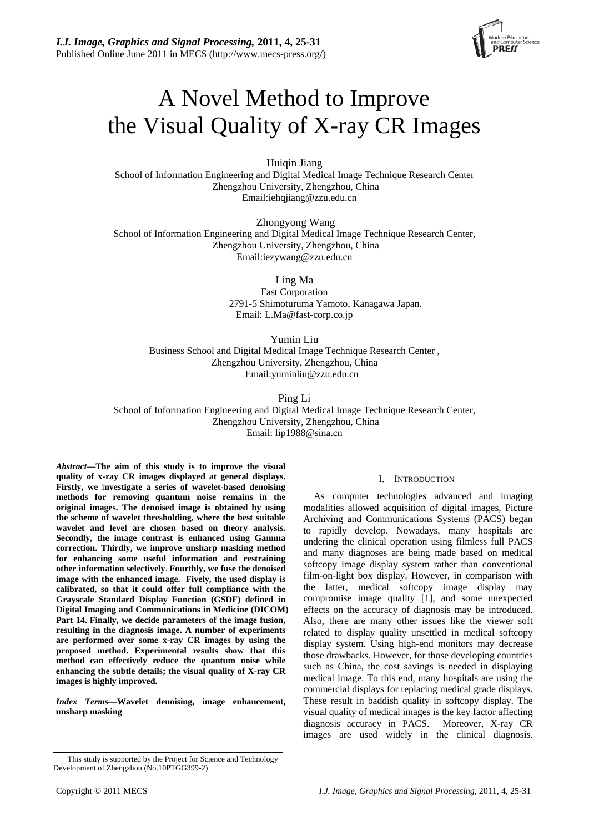

# A Novel Method to Improve the Visual Quality of X-ray CR Images

Huiqin Jiang School of Information Engineering and Digital Medical Image Technique Research Center Zhengzhou University, Zhengzhou, China Email:iehqjiang@zzu.edu.cn

 Zhongyong Wang School of Information Engineering and Digital Medical Image Technique Research Center, Zhengzhou University, Zhengzhou, China Email:iezywang@zzu.edu.cn

Ling Ma

Fast Corporation 2791-5 Shimoturuma Yamoto, Kanagawa Japan. Email: [L.Ma@fast-corp.co.jp](mailto:L.Ma@fast-corp.co.jp) 

Yumin Liu Business School and Digital Medical Image Technique Research Center , Zhengzhou University, Zhengzhou, China Email[:yuminliu@zzu.edu.cn](mailto:yuminliu@zzu.edu.cn) 

Ping Li School of Information Engineering and Digital Medical Image Technique Research Center, Zhengzhou University, Zhengzhou, China Email: lip1988@sina.cn

*Abstract***—The aim of this study is to improve the visual quality of x-ray CR images displayed at general displays. Firstly, we** i**nvestigate a series of wavelet-based denoising methods for removing quantum noise remains in the original images. The denoised image is obtained by using the scheme of wavelet thresholding, where the best suitable wavelet and level are chosen based on theory analysis. Secondly, the image contrast is enhanced using Gamma correction. Thirdly, we improve unsharp masking method for enhancing some useful information and restraining other information selectively**. **Fourthly, we fuse the denoised image with the enhanced image. Fively, the used display is calibrated, so that it could offer full compliance with the Grayscale Standard Display Function (GSDF) defined in Digital Imaging and Communications in Medicine (DICOM) Part 14. Finally, we decide parameters of the image fusion, resulting in the diagnosis image. A number of experiments are performed over some x-ray CR images by using the proposed method. Experimental results show that this method can effectively reduce the quantum noise while enhancing the subtle details; the visual quality of X-ray CR images is highly improved.** 

*Index Terms*—**Wavelet denoising, image enhancement, unsharp masking** 

As computer technologies advanced and imaging modalities allowed acquisition of digital images, Picture Archiving and Communications Systems (PACS) began to rapidly develop. Nowadays, many hospitals are undering the clinical operation using filmless full PACS and many diagnoses are being made based on medical softcopy image display system rather than conventional film-on-light box display. However, in comparison with the latter, medical softcopy image display may compromise image quality [1], and some unexpected effects on the accuracy of diagnosis may be introduced. Also, there are many other issues like the viewer soft related to display quality unsettled in medical softcopy display system. Using high-end monitors may decrease those drawbacks. However, for those developing countries such as China, the cost savings is needed in displaying medical image. To this end, many hospitals are using the commercial displays for replacing medical grade displays. These result in baddish quality in softcopy display. The visual quality of medical images is the key factor affecting diagnosis accuracy in PACS. Moreover, X-ray CR images are used widely in the clinical diagnosis.

I. INTRODUCTION

This study is supported by the Project for Science and Technology Development of Zhengzhou (No.10PTGG399-2)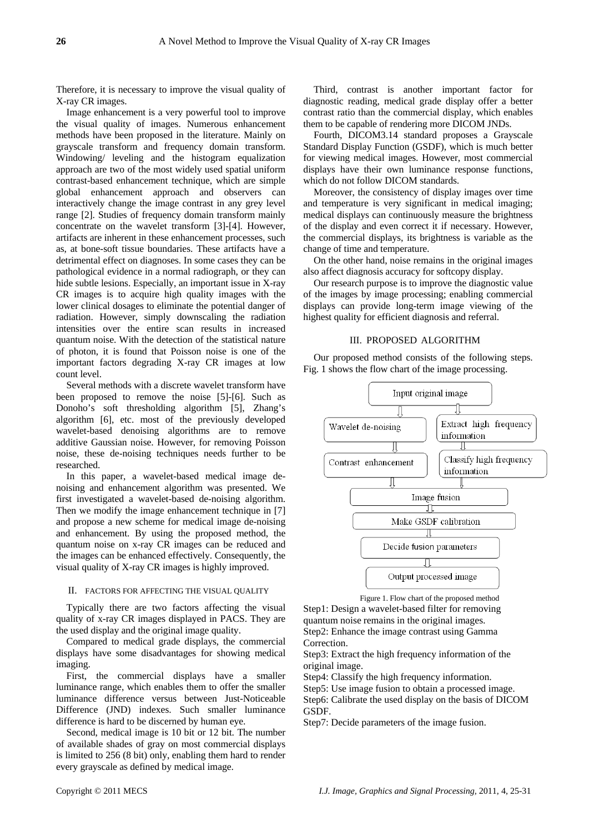Therefore, it is necessary to improve the visual quality of X-ray CR images.

Image enhancement is a very powerful tool to improve the visual quality of images. Numerous enhancement methods have been proposed in the literature. Mainly on grayscale transform and frequency domain transform. Windowing/ leveling and the histogram equalization approach are two of the most widely used spatial uniform contrast-based enhancement technique, which are simple global enhancement approach and observers can interactively change the image contrast in any grey level range [2]. Studies of frequency domain transform mainly concentrate on the wavelet transform [3]-[4]. However, artifacts are inherent in these enhancement processes, such as, at bone-soft tissue boundaries. These artifacts have a detrimental effect on diagnoses. In some cases they can be pathological evidence in a normal radiograph, or they can hide subtle lesions. Especially, an important issue in X-ray CR images is to acquire high quality images with the lower clinical dosages to eliminate the potential danger of radiation. However, simply downscaling the radiation intensities over the entire scan results in increased quantum noise. With the detection of the statistical nature of photon, it is found that Poisson noise is one of the important factors degrading X-ray CR images at low count level.

Several methods with a discrete wavelet transform have been proposed to remove the noise [5]-[6]. Such as Donoho's soft thresholding algorithm [5], Zhang's algorithm [6], etc. most of the previously developed wavelet-based denoising algorithms are to remove additive Gaussian noise. However, for removing Poisson noise, these de-noising techniques needs further to be researched.

In this paper, a wavelet-based medical image denoising and enhancement algorithm was presented. We first investigated a wavelet-based de-noising algorithm. Then we modify the image enhancement technique in [7] and propose a new scheme for medical image de-noising and enhancement. By using the proposed method, the quantum noise on x-ray CR images can be reduced and the images can be enhanced effectively. Consequently, the visual quality of X-ray CR images is highly improved.

## II. FACTORS FOR AFFECTING THE VISUAL QUALITY

Typically there are two factors affecting the visual quality of x-ray CR images displayed in PACS. They are the used display and the original image quality.

Compared to medical grade displays, the commercial displays have some disadvantages for showing medical imaging.

First, the commercial displays have a smaller luminance range, which enables them to offer the smaller luminance difference versus between Just-Noticeable Difference (JND) indexes. Such smaller luminance difference is hard to be discerned by human eye.

Second, medical image is 10 bit or 12 bit. The number of available shades of gray on most commercial displays is limited to 256 (8 bit) only, enabling them hard to render every grayscale as defined by medical image.

Third, contrast is another important factor for diagnostic reading, medical grade display offer a better contrast ratio than the commercial display, which enables them to be capable of rendering more DICOM JNDs.

Fourth, DICOM3.14 standard proposes a Grayscale Standard Display Function (GSDF), which is much better for viewing medical images. However, most commercial displays have their own luminance response functions, which do not follow DICOM standards.

Moreover, the consistency of display images over time and temperature is very significant in medical imaging; medical displays can continuously measure the brightness of the display and even correct it if necessary. However, the commercial displays, its brightness is variable as the change of time and temperature.

On the other hand, noise remains in the original images also affect diagnosis accuracy for softcopy display.

Our research purpose is to improve the diagnostic value of the images by image processing; enabling commercial displays can provide long-term image viewing of the highest quality for efficient diagnosis and referral.

#### III. PROPOSED ALGORITHM

Our proposed method consists of the following steps. Fig. 1 shows the flow chart of the image processing.



Figure 1. Flow chart of the proposed method

Step1: Design a wavelet-based filter for removing quantum noise remains in the original images. Step2: Enhance the image contrast using Gamma Correction.

Step3: Extract the high frequency information of the original image.

Step4: Classify the high frequency information.

Step5: Use image fusion to obtain a processed image. Step6: Calibrate the used display on the basis of DICOM GSDF.

Step7: Decide parameters of the image fusion.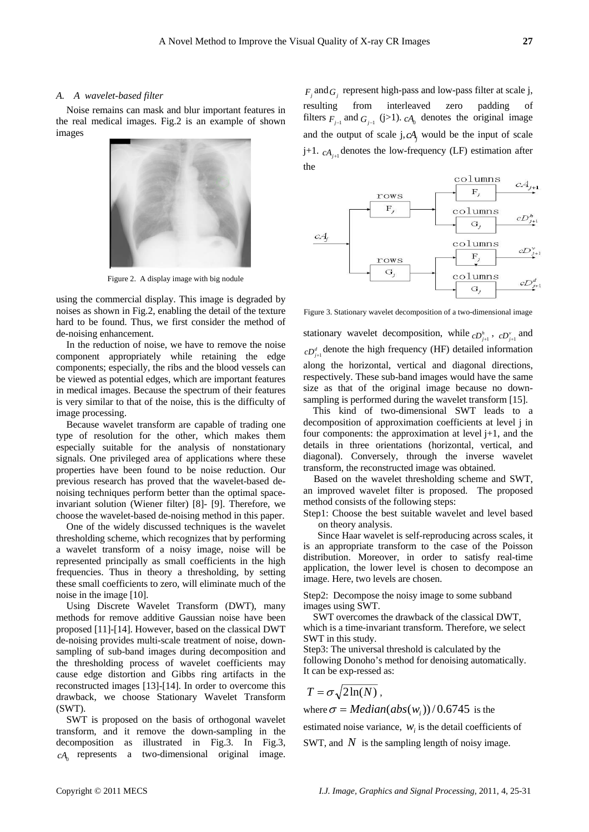#### *A. A wavelet-based filter*

Noise remains can mask and blur important features in the real medical images. Fig.2 is an example of shown images



Figure 2. A display image with big nodule

using the commercial display. This image is degraded by noises as shown in Fig.2, enabling the detail of the texture hard to be found. Thus, we first consider the method of de-noising enhancement.

In the reduction of noise, we have to remove the noise component appropriately while retaining the edge components; especially, the ribs and the blood vessels can be viewed as potential edges, which are important features in medical images. Because the spectrum of their features is very similar to that of the noise, this is the difficulty of image processing.

Because wavelet transform are capable of trading one type of resolution for the other, which makes them especially suitable for the analysis of nonstationary signals. One privileged area of applications where these properties have been found to be noise reduction. Our previous research has proved that the wavelet-based denoising techniques perform better than the optimal spaceinvariant solution (Wiener filter) [8]- [9]. Therefore, we choose the wavelet-based de-noising method in this paper.

One of the widely discussed techniques is the wavelet thresholding scheme, which recognizes that by performing a wavelet transform of a noisy image, noise will be represented principally as small coefficients in the high frequencies. Thus in theory a thresholding, by setting these small coefficients to zero, will eliminate much of the noise in the image [10].

Using Discrete Wavelet Transform (DWT), many methods for remove additive Gaussian noise have been proposed [11]-[14]. However, based on the classical DWT de-noising provides multi-scale treatment of noise, downsampling of sub-band images during decomposition and the thresholding process of wavelet coefficients may cause edge distortion and Gibbs ring artifacts in the reconstructed images [13]-[14]. In order to overcome this drawback, we choose Stationary Wavelet Transform (SWT).

SWT is proposed on the basis of orthogonal wavelet transform, and it remove the down-sampling in the decomposition as illustrated in Fig.3. In Fig.3,  $cA_0$  represents a two-dimensional original image.

 $F_j$  and  $G_j$  represent high-pass and low-pass filter at scale j, filters  $F_{j-1}$  and  $G_{j-1}$  (j>1).  $cA_0$  denotes the original image resulting from interleaved zero padding of and the output of scale  $j, cA_j$  would be the input of scale j+1.  $cA_{i+1}$  denotes the low-frequency (LF) estimation after the



Figure 3. Stationary wavelet decomposition of a two-dimensional image

stationary wavelet decomposition, while  $cD_{j+1}^h$ ,  $cD_{j+1}^v$  and  $cD_{j+1}^d$  denote the high frequency (HF) detailed information along the horizontal, vertical and diagonal directions, respectively. These sub-band images would have the same size as that of the original image because no downsampling is performed during the wavelet transform [15].

This kind of two-dimensional SWT leads to a decomposition of approximation coefficients at level j in four components: the approximation at level  $j+1$ , and the details in three orientations (horizontal, vertical, and diagonal). Conversely, through the inverse wavelet transform, the reconstructed image was obtained.

Based on the wavelet thresholding scheme and SWT, an improved wavelet filter is proposed. The proposed method consists of the following steps:

Step1: Choose the best suitable wavelet and level based on theory analysis.

Since Haar wavelet is self-reproducing across scales, it is an appropriate transform to the case of the Poisson distribution. Moreover, in order to satisfy real-time application, the lower level is chosen to decompose an image. Here, two levels are chosen.

Step2: Decompose the noisy image to some subband images using SWT.

 SWT overcomes the drawback of the classical DWT, which is a time-invariant transform. Therefore, we select SWT in this study.

Step3: The universal threshold is calculated by the following Donoho's method for denoising automatically. It can be exp-ressed as:

$$
T = \sigma \sqrt{2\ln(N)} \; ,
$$

where  $\sigma = Median(abs(w_i))/0.6745$  is the

estimated noise variance,  $W_i$  is the detail coefficients of SWT, and  $N$  is the sampling length of noisy image.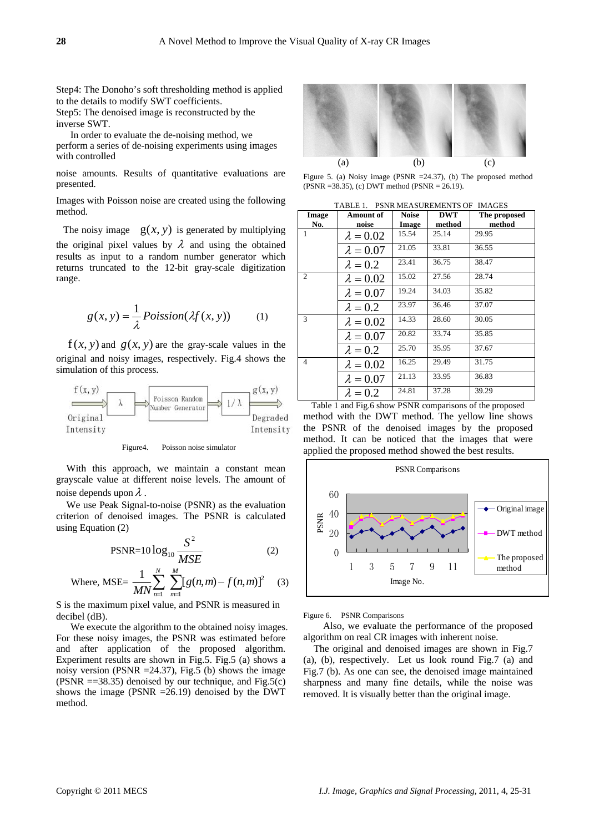Step4: The Donoho's soft thresholding method is applied to the details to modify SWT coefficients.

Step5: The denoised image is reconstructed by the inverse SWT.

In order to evaluate the de-noising method, we perform a series of de-noising experiments using images with controlled

noise amounts. Results of quantitative evaluations are presented.

Images with Poisson noise are created using the following method.

The noisy image  $g(x, y)$  is generated by multiplying the original pixel values by  $\lambda$  and using the obtained results as input to a random number generator which returns truncated to the 12-bit gray-scale digitization range.

$$
g(x, y) = \frac{1}{\lambda} Poisson(\lambda f(x, y))
$$
 (1)

 $f(x, y)$  and  $g(x, y)$  are the gray-scale values in the original and noisy images, respectively. Fig.4 shows the simulation of this process.



Figure4. Poisson noise simulator

With this approach, we maintain a constant mean grayscale value at different noise levels. The amount of noise depends upon  $\lambda$ .

We use Peak Signal-to-noise (PSNR) as the evaluation criterion of denoised images. The PSNR is calculated using Equation (2)

$$
PSNR = 10 \log_{10} \frac{S^2}{MSE}
$$
 (2)

Where, MSE = 
$$
\frac{1}{MN} \sum_{n=1}^{N} \sum_{m=1}^{M} [g(n, m) - f(n, m)]^{2}
$$
 (3)

S is the maximum pixel value, and PSNR is measured in decibel (dB).

We execute the algorithm to the obtained noisy images. For these noisy images, the PSNR was estimated before and after application of the proposed algorithm. Experiment results are shown in Fig.5. Fig.5 (a) shows a noisy version (PSNR  $=$ 24.37), Fig.5 (b) shows the image (PSNR  $==38.35$ ) denoised by our technique, and Fig.5(c) shows the image (PSNR  $=26.19$ ) denoised by the DWT method.



Figure 5. (a) Noisy image (PSNR =24.37), (b) The proposed method (PSNR =38.35), (c) DWT method (PSNR = 26.19).

|  |  |  | TABLE 1. PSNR MEASUREMENTS OF IMAGES |  |
|--|--|--|--------------------------------------|--|
|  |  |  |                                      |  |

| Image<br>No.           | Amount of<br>noise | <b>Noise</b><br>Image | <b>DWT</b><br>method | The proposed<br>method |
|------------------------|--------------------|-----------------------|----------------------|------------------------|
| 1                      | $\lambda = 0.02$   | 15.54                 | 25.14                | 29.95                  |
|                        | $\lambda = 0.07$   | 21.05                 | 33.81                | 36.55                  |
|                        | $\lambda = 0.2$    | 23.41                 | 36.75                | 38.47                  |
| $\mathcal{D}_{\alpha}$ | $\lambda = 0.02$   | 15.02                 | 27.56                | 28.74                  |
|                        | $\lambda = 0.07$   | 19.24                 | 34.03                | 35.82                  |
|                        | $\lambda = 0.2$    | 23.97                 | 36.46                | 37.07                  |
| 3                      | $\lambda = 0.02$   | 14.33                 | 28.60                | 30.05                  |
|                        | $\lambda = 0.07$   | 20.82                 | 33.74                | 35.85                  |
|                        | $\lambda = 0.2$    | 25.70                 | 35.95                | 37.67                  |
| $\overline{4}$         | $\lambda = 0.02$   | 16.25                 | 29.49                | 31.75                  |
|                        | $\lambda = 0.07$   | 21.13                 | 33.95                | 36.83                  |
|                        | $\lambda = 0.2$    | 24.81                 | 37.28                | 39.29                  |

Table 1 and Fig.6 show PSNR comparisons of the proposed method with the DWT method. The yellow line shows the PSNR of the denoised images by the proposed method. It can be noticed that the images that were applied the proposed method showed the best results.



Figure 6. PSNR Comparisons

Also, we evaluate the performance of the proposed algorithm on real CR images with inherent noise.

The original and denoised images are shown in Fig.7 (a), (b), respectively. Let us look round Fig.7 (a) and Fig.7 (b). As one can see, the denoised image maintained sharpness and many fine details, while the noise was removed. It is visually better than the original image.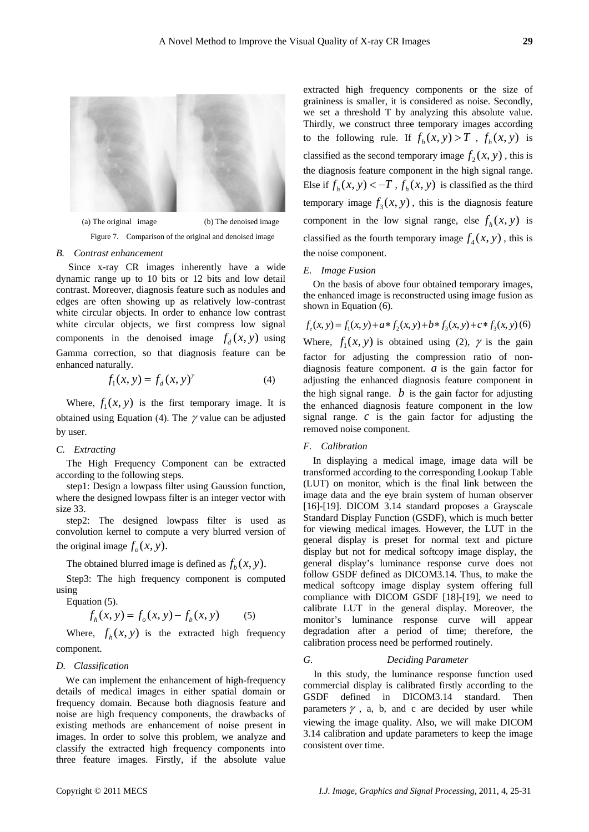

Figure 7. Comparison of the original and denoised image

#### *B. Contrast enhancement*

 Since x-ray CR images inherently have a wide dynamic range up to 10 bits or 12 bits and low detail contrast. Moreover, diagnosis feature such as nodules and edges are often showing up as relatively low-contrast white circular objects. In order to enhance low contrast white circular objects, we first compress low signal components in the denoised image  $f_d(x, y)$  using Gamma correction, so that diagnosis feature can be enhanced naturally.

$$
f_1(x, y) = f_d(x, y)^\gamma
$$
 (4)

Where,  $f_1(x, y)$  is the first temporary image. It is obtained using Equation (4). The  $\gamma$  value can be adjusted by user.

# *C. Extracting*

The High Frequency Component can be extracted according to the following steps.

step1: Design a lowpass filter using Gaussion function, where the designed lowpass filter is an integer vector with size 33.

step2: The designed lowpass filter is used as convolution kernel to compute a very blurred version of the original image  $f_a(x, y)$ .

The obtained blurred image is defined as  $f_h(x, y)$ .

Step3: The high frequency component is computed using

Equation (5).

$$
f_h(x, y) = f_o(x, y) - f_b(x, y)
$$
 (5)

Where,  $f_h(x, y)$  is the extracted high frequency component.

#### *D. Classification*

We can implement the enhancement of high-frequency details of medical images in either spatial domain or frequency domain. Because both diagnosis feature and noise are high frequency components, the drawbacks of existing methods are enhancement of noise present in images. In order to solve this problem, we analyze and classify the extracted high frequency components into three feature images. Firstly, if the absolute value

extracted high frequency components or the size of graininess is smaller, it is considered as noise. Secondly, we set a threshold T by analyzing this absolute value. Thirdly, we construct three temporary images according to the following rule. If  $f_h(x, y) > T$ ,  $f_h(x, y)$  is classified as the second temporary image  $f_2(x, y)$  , this is the diagnosis feature component in the high signal range. Else if  $f_h(x, y) < -T$ ,  $f_h(x, y)$  is classified as the third temporary image  $f_3(x, y)$ , this is the diagnosis feature component in the low signal range, else  $f_h(x, y)$  is classified as the fourth temporary image  $f_4(x, y)$ , this is the noise component.

#### *E. Image Fusion*

On the basis of above four obtained temporary images, the enhanced image is reconstructed using image fusion as shown in Equation (6).

$$
f_e(x, y) = f_1(x, y) + a * f_2(x, y) + b * f_3(x, y) + c * f_3(x, y)
$$
 (6)  
Where,  $f_1(x, y)$  is obtained using (2),  $\gamma$  is the gain  
factor for adjusting the compression ratio of non-  
diagnosis feature component. *a* is the gain factor for  
adjusting the enhanced diagnosis feature component in  
the high signal range. *b* is the gain factor for adjusting  
the enhanced diagnosis feature component in the low

# signal range. *c* is the gain factor for adjusting the removed noise component.

## *F. Calibration*

In displaying a medical image, image data will be transformed according to the corresponding Lookup Table (LUT) on monitor, which is the final link between the image data and the eye brain system of human observer [16]-[19]. DICOM 3.14 standard proposes a Grayscale Standard Display Function (GSDF), which is much better for viewing medical images. However, the LUT in the general display is preset for normal text and picture display but not for medical softcopy image display, the general display's luminance response curve does not follow GSDF defined as DICOM3.14. Thus, to make the medical softcopy image display system offering full compliance with DICOM GSDF [18]-[19], we need to calibrate LUT in the general display. Moreover, the monitor's luminance response curve will appear degradation after a period of time; therefore, the calibration process need be performed routinely.

# *G. Deciding Parameter*

In this study, the luminance response function used commercial display is calibrated firstly according to the GSDF defined in DICOM3.14 standard. Then parameters  $\gamma$ , a, b, and c are decided by user while viewing the image quality. Also, we will make DICOM 3.14 calibration and update parameters to keep the image consistent over time.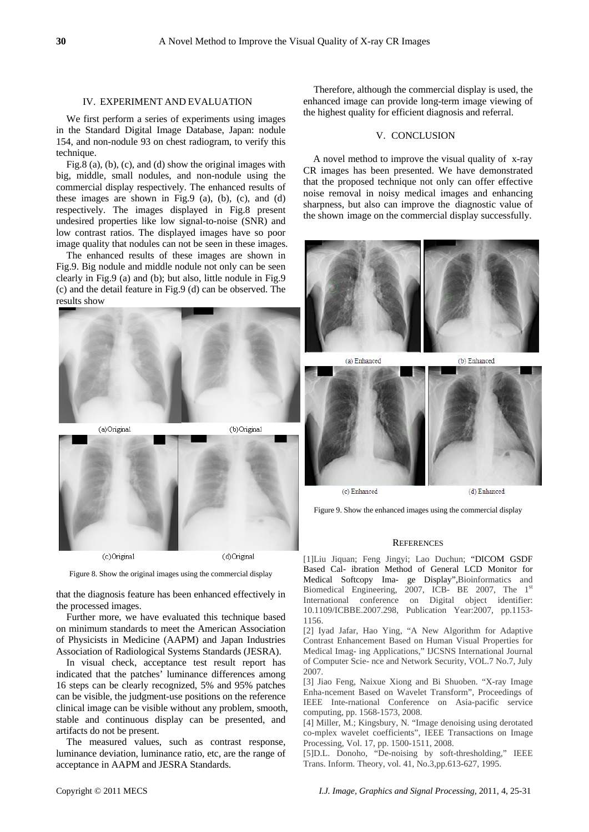#### IV. EXPERIMENT AND EVALUATION

We first perform a series of experiments using images in the Standard Digital Image Database, Japan: nodule 154, and non-nodule 93 on chest radiogram, to verify this technique.

Fig.8 (a), (b), (c), and (d) show the original images with big, middle, small nodules, and non-nodule using the commercial display respectively. The enhanced results of these images are shown in Fig.9 (a), (b), (c), and (d) respectively. The images displayed in Fig.8 present undesired properties like low signal-to-noise (SNR) and low contrast ratios. The displayed images have so poor image quality that nodules can not be seen in these images.

The enhanced results of these images are shown in Fig.9. Big nodule and middle nodule not only can be seen clearly in Fig.9 (a) and (b); but also, little nodule in Fig.9 (c) and the detail feature in Fig.9 (d) can be observed. The results show



Figure 8. Show the original images using the commercial display

that the diagnosis feature has been enhanced effectively in the processed images.

Further more, we have evaluated this technique based on minimum standards to meet the American Association of Physicists in Medicine (AAPM) and Japan Industries Association of Radiological Systems Standards (JESRA).

In visual check, acceptance test result report has indicated that the patches' luminance differences among 16 steps can be clearly recognized, 5% and 95% patches can be visible, the judgment-use positions on the reference clinical image can be visible without any problem, smooth, stable and continuous display can be presented, and artifacts do not be present.

The measured values, such as contrast response, luminance deviation, luminance ratio, etc, are the range of acceptance in AAPM and JESRA Standards.

Therefore, although the commercial display is used, the enhanced image can provide long-term image viewing of the highest quality for efficient diagnosis and referral.

# V. CONCLUSION

A novel method to improve the visual quality of x-ray CR images has been presented. We have demonstrated that the proposed technique not only can offer effective noise removal in noisy medical images and enhancing sharpness, but also can improve the diagnostic value of the shown image on the commercial display successfully.



(b) Enhanced



Figure 9. Show the enhanced images using the commercial display

#### **REFERENCES**

[1]Liu Jiquan; Feng Jingyi; Lao Duchun; "DICOM GSDF Based Cal- ibration Method of General LCD Monitor for Medical Softcopy Ima- ge Display",Bioinformatics and Biomedical Engineering, 2007, ICB- BE 2007, The 1<sup>st</sup> International conference on Digital object identifier: 10.1109/ICBBE.2007.298, Publication Year:2007, pp.1153- 1156.

[2] Iyad Jafar, Hao Ying, "A New Algorithm for Adaptive Contrast Enhancement Based on Human Visual Properties for Medical Imag- ing Applications," IJCSNS International Journal of Computer Scie- nce and Network Security, VOL.7 No.7, July 2007.

[3] Jiao Feng, Naixue Xiong and Bi Shuoben. "X-ray Image Enha-ncement Based on Wavelet Transform", Proceedings of IEEE Inte-rnational Conference on Asia-pacific service computing, pp. 1568-1573, 2008.

[4] Miller, M.; Kingsbury, N. "Image denoising using derotated co-mplex wavelet coefficients", IEEE Transactions on Image Processing, Vol. 17, pp. 1500-1511, 2008.

[5]D.L. Donoho, "De-noising by soft-thresholding," IEEE Trans. Inform. Theory, vol. 41, No.3,pp.613-627, 1995.